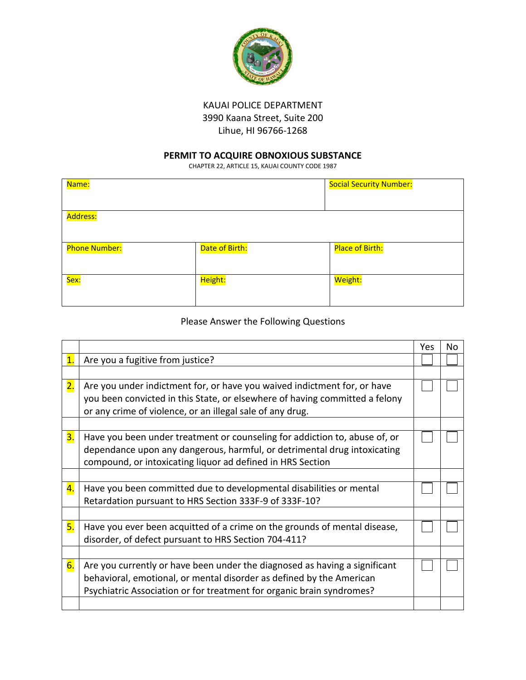

## KAUAI POLICE DEPARTMENT 3990 Kaana Street, Suite 200 Lihue, HI 96766-1268

## **PERMIT TO ACQUIRE OBNOXIOUS SUBSTANCE**

CHAPTER 22, ARTICLE 15, KAUAI COUNTY CODE 1987

| Name:                |                | <b>Social Security Number:</b> |
|----------------------|----------------|--------------------------------|
|                      |                |                                |
| Address:             |                |                                |
|                      |                |                                |
| <b>Phone Number:</b> | Date of Birth: | Place of Birth:                |
|                      |                |                                |
| Sex:                 | Height:        | Weight:                        |
|                      |                |                                |

## Please Answer the Following Questions

|                |                                                                             | Yes | N٥ |
|----------------|-----------------------------------------------------------------------------|-----|----|
| $\mathbf{1}$ . | Are you a fugitive from justice?                                            |     |    |
|                |                                                                             |     |    |
| 2.             | Are you under indictment for, or have you waived indictment for, or have    |     |    |
|                | you been convicted in this State, or elsewhere of having committed a felony |     |    |
|                | or any crime of violence, or an illegal sale of any drug.                   |     |    |
|                |                                                                             |     |    |
| 3.             | Have you been under treatment or counseling for addiction to, abuse of, or  |     |    |
|                | dependance upon any dangerous, harmful, or detrimental drug intoxicating    |     |    |
|                | compound, or intoxicating liquor ad defined in HRS Section                  |     |    |
|                |                                                                             |     |    |
| 4.             | Have you been committed due to developmental disabilities or mental         |     |    |
|                | Retardation pursuant to HRS Section 333F-9 of 333F-10?                      |     |    |
|                |                                                                             |     |    |
| 5.             | Have you ever been acquitted of a crime on the grounds of mental disease,   |     |    |
|                | disorder, of defect pursuant to HRS Section 704-411?                        |     |    |
|                |                                                                             |     |    |
| 6.             | Are you currently or have been under the diagnosed as having a significant  |     |    |
|                | behavioral, emotional, or mental disorder as defined by the American        |     |    |
|                | Psychiatric Association or for treatment for organic brain syndromes?       |     |    |
|                |                                                                             |     |    |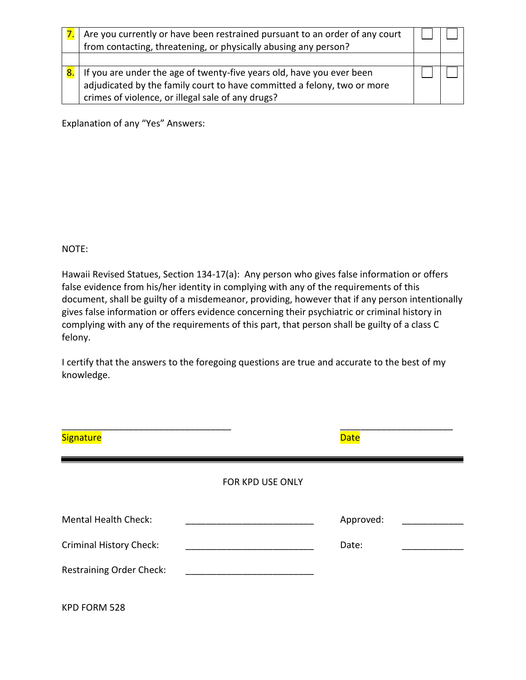|    | Are you currently or have been restrained pursuant to an order of any court<br>from contacting, threatening, or physically abusing any person?                                                        |  |
|----|-------------------------------------------------------------------------------------------------------------------------------------------------------------------------------------------------------|--|
| 8. | If you are under the age of twenty-five years old, have you ever been<br>adjudicated by the family court to have committed a felony, two or more<br>crimes of violence, or illegal sale of any drugs? |  |

Explanation of any "Yes" Answers:

#### NOTE:

Hawaii Revised Statues, Section 134-17(a): Any person who gives false information or offers false evidence from his/her identity in complying with any of the requirements of this document, shall be guilty of a misdemeanor, providing, however that if any person intentionally gives false information or offers evidence concerning their psychiatric or criminal history in complying with any of the requirements of this part, that person shall be guilty of a class C felony.

I certify that the answers to the foregoing questions are true and accurate to the best of my knowledge.

| <b>Signature</b>                |                  | <b>Date</b> |  |
|---------------------------------|------------------|-------------|--|
|                                 | FOR KPD USE ONLY |             |  |
| <b>Mental Health Check:</b>     |                  | Approved:   |  |
| <b>Criminal History Check:</b>  |                  | Date:       |  |
| <b>Restraining Order Check:</b> |                  |             |  |
| KPD FORM 528                    |                  |             |  |